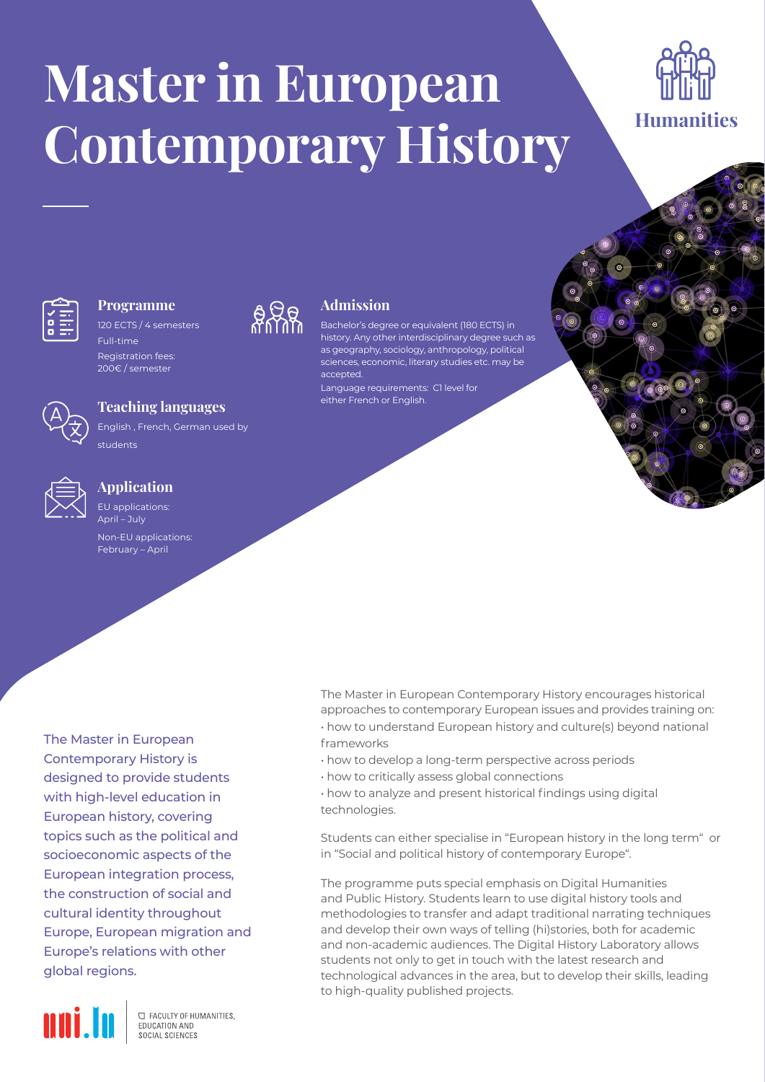# **Master in European Contemporary History**





# **Programme**

120 ECTS / 4 semesters Full-time

Registration fees: 200€ / semester



## **Teaching languages**

English , French, German used by students



## **Application**

EU applications:  $\Delta$ pril – July

Non-EU applications: February – April

The Master in European Contemporary History is designed to provide students with high-level education in European history, covering topics such as the political and socioeconomic aspects of the European integration process, the construction of social and cultural identity throughout Europe, European migration and Europe's relations with other global regions.



**C FACULTY OF HUMANITIES.** EDUCATION AND SOCIAL SCIENCES



# **Admission**

Bachelor's degree or equivalent (180 ECTS) in history. Any other interdisciplinary degree such as as geography, sociology, anthropology, political sciences, economic, literary studies etc. may be accepted. Language requirements: C1 level for either French or English.

The Master in European Contemporary History encourages historical approaches to contemporary European issues and provides training on:

• how to understand European history and culture(s) beyond national frameworks

- how to develop a long-term perspective across periods
- how to critically assess global connections

• how to analyze and present historical findings using digital technologies.

Students can either specialise in "European history in the long term" or in "Social and political history of contemporary Europe".

The programme puts special emphasis on Digital Humanities and Public History. Students learn to use digital history tools and methodologies to transfer and adapt traditional narrating techniques and develop their own ways of telling (hi)stories, both for academic and non-academic audiences. The Digital History Laboratory allows students not only to get in touch with the latest research and technological advances in the area, but to develop their skills, leading to high-quality published projects.